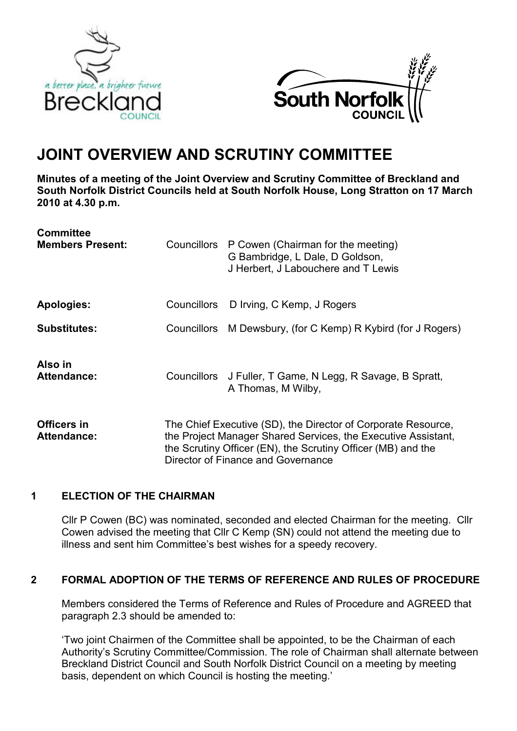



# JOINT OVERVIEW AND SCRUTINY COMMITTEE

Minutes of a meeting of the Joint Overview and Scrutiny Committee of Breckland and South Norfolk District Councils held at South Norfolk House, Long Stratton on 17 March 2010 at 4.30 p.m.

| <b>Committee</b><br><b>Members Present:</b> |                                                                                                                                                                                                                                      | Councillors P Cowen (Chairman for the meeting)<br>G Bambridge, L Dale, D Goldson,<br>J Herbert, J Labouchere and T Lewis |
|---------------------------------------------|--------------------------------------------------------------------------------------------------------------------------------------------------------------------------------------------------------------------------------------|--------------------------------------------------------------------------------------------------------------------------|
| <b>Apologies:</b>                           | Councillors                                                                                                                                                                                                                          | D Irving, C Kemp, J Rogers                                                                                               |
| <b>Substitutes:</b>                         |                                                                                                                                                                                                                                      | Councillors M Dewsbury, (for C Kemp) R Kybird (for J Rogers)                                                             |
| Also in<br><b>Attendance:</b>               |                                                                                                                                                                                                                                      | Councillors J Fuller, T Game, N Legg, R Savage, B Spratt,<br>A Thomas, M Wilby,                                          |
| Officers in<br><b>Attendance:</b>           | The Chief Executive (SD), the Director of Corporate Resource,<br>the Project Manager Shared Services, the Executive Assistant,<br>the Scrutiny Officer (EN), the Scrutiny Officer (MB) and the<br>Director of Finance and Governance |                                                                                                                          |

# 1 ELECTION OF THE CHAIRMAN

Cllr P Cowen (BC) was nominated, seconded and elected Chairman for the meeting. Cllr Cowen advised the meeting that Cllr C Kemp (SN) could not attend the meeting due to illness and sent him Committee's best wishes for a speedy recovery.

# 2 FORMAL ADOPTION OF THE TERMS OF REFERENCE AND RULES OF PROCEDURE

Members considered the Terms of Reference and Rules of Procedure and AGREED that paragraph 2.3 should be amended to:

'Two joint Chairmen of the Committee shall be appointed, to be the Chairman of each Authority's Scrutiny Committee/Commission. The role of Chairman shall alternate between Breckland District Council and South Norfolk District Council on a meeting by meeting basis, dependent on which Council is hosting the meeting.'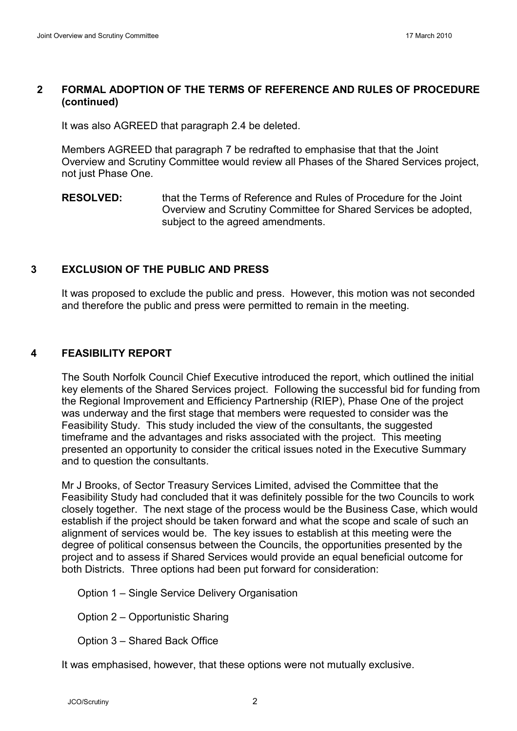## 2 FORMAL ADOPTION OF THE TERMS OF REFERENCE AND RULES OF PROCEDURE (continued)

It was also AGREED that paragraph 2.4 be deleted.

 Members AGREED that paragraph 7 be redrafted to emphasise that that the Joint Overview and Scrutiny Committee would review all Phases of the Shared Services project, not just Phase One.

RESOLVED: that the Terms of Reference and Rules of Procedure for the Joint Overview and Scrutiny Committee for Shared Services be adopted, subject to the agreed amendments.

### 3 EXCLUSION OF THE PUBLIC AND PRESS

It was proposed to exclude the public and press. However, this motion was not seconded and therefore the public and press were permitted to remain in the meeting.

## 4 FEASIBILITY REPORT

 The South Norfolk Council Chief Executive introduced the report, which outlined the initial key elements of the Shared Services project. Following the successful bid for funding from the Regional Improvement and Efficiency Partnership (RIEP), Phase One of the project was underway and the first stage that members were requested to consider was the Feasibility Study. This study included the view of the consultants, the suggested timeframe and the advantages and risks associated with the project. This meeting presented an opportunity to consider the critical issues noted in the Executive Summary and to question the consultants.

 Mr J Brooks, of Sector Treasury Services Limited, advised the Committee that the Feasibility Study had concluded that it was definitely possible for the two Councils to work closely together. The next stage of the process would be the Business Case, which would establish if the project should be taken forward and what the scope and scale of such an alignment of services would be. The key issues to establish at this meeting were the degree of political consensus between the Councils, the opportunities presented by the project and to assess if Shared Services would provide an equal beneficial outcome for both Districts. Three options had been put forward for consideration:

Option 1 – Single Service Delivery Organisation

Option 2 – Opportunistic Sharing

Option 3 – Shared Back Office

It was emphasised, however, that these options were not mutually exclusive.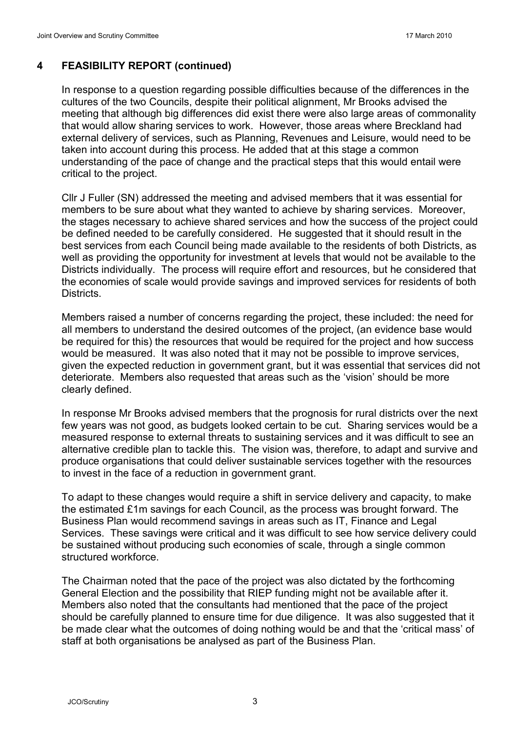#### 4 FEASIBILITY REPORT (continued)

In response to a question regarding possible difficulties because of the differences in the cultures of the two Councils, despite their political alignment, Mr Brooks advised the meeting that although big differences did exist there were also large areas of commonality that would allow sharing services to work. However, those areas where Breckland had external delivery of services, such as Planning, Revenues and Leisure, would need to be taken into account during this process. He added that at this stage a common understanding of the pace of change and the practical steps that this would entail were critical to the project.

 Cllr J Fuller (SN) addressed the meeting and advised members that it was essential for members to be sure about what they wanted to achieve by sharing services. Moreover, the stages necessary to achieve shared services and how the success of the project could be defined needed to be carefully considered. He suggested that it should result in the best services from each Council being made available to the residents of both Districts, as well as providing the opportunity for investment at levels that would not be available to the Districts individually. The process will require effort and resources, but he considered that the economies of scale would provide savings and improved services for residents of both **Districts** 

 Members raised a number of concerns regarding the project, these included: the need for all members to understand the desired outcomes of the project, (an evidence base would be required for this) the resources that would be required for the project and how success would be measured. It was also noted that it may not be possible to improve services, given the expected reduction in government grant, but it was essential that services did not deteriorate. Members also requested that areas such as the 'vision' should be more clearly defined.

 In response Mr Brooks advised members that the prognosis for rural districts over the next few years was not good, as budgets looked certain to be cut. Sharing services would be a measured response to external threats to sustaining services and it was difficult to see an alternative credible plan to tackle this. The vision was, therefore, to adapt and survive and produce organisations that could deliver sustainable services together with the resources to invest in the face of a reduction in government grant.

 To adapt to these changes would require a shift in service delivery and capacity, to make the estimated £1m savings for each Council, as the process was brought forward. The Business Plan would recommend savings in areas such as IT, Finance and Legal Services. These savings were critical and it was difficult to see how service delivery could be sustained without producing such economies of scale, through a single common structured workforce.

 The Chairman noted that the pace of the project was also dictated by the forthcoming General Election and the possibility that RIEP funding might not be available after it. Members also noted that the consultants had mentioned that the pace of the project should be carefully planned to ensure time for due diligence. It was also suggested that it be made clear what the outcomes of doing nothing would be and that the 'critical mass' of staff at both organisations be analysed as part of the Business Plan.